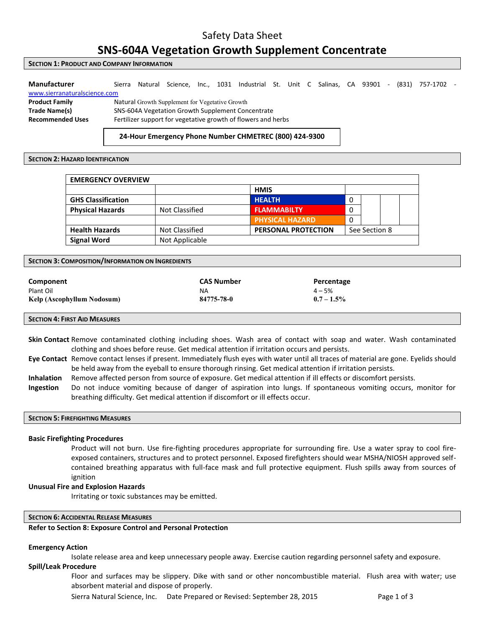## Safety Data Sheet

## **SNS-604A Vegetation Growth Supplement Concentrate**

### **SECTION 1: PRODUCT AND COMPANY INFORMATION**

| Manufacturer                 | Sierra                                                        | Natural                                         | Science. |  |  | Inc., 1031 Industrial St. Unit C Salinas, CA 93901 |  |  |  | $\sim$ | (831) | 757-1702 |  |
|------------------------------|---------------------------------------------------------------|-------------------------------------------------|----------|--|--|----------------------------------------------------|--|--|--|--------|-------|----------|--|
| www.sierranaturalscience.com |                                                               |                                                 |          |  |  |                                                    |  |  |  |        |       |          |  |
| <b>Product Family</b>        |                                                               | Natural Growth Supplement for Vegetative Growth |          |  |  |                                                    |  |  |  |        |       |          |  |
| Trade Name(s)                | SNS-604A Vegetation Growth Supplement Concentrate             |                                                 |          |  |  |                                                    |  |  |  |        |       |          |  |
| <b>Recommended Uses</b>      | Fertilizer support for vegetative growth of flowers and herbs |                                                 |          |  |  |                                                    |  |  |  |        |       |          |  |
|                              |                                                               |                                                 |          |  |  |                                                    |  |  |  |        |       |          |  |

### **24-Hour Emergency Phone Number CHMETREC (800) 424-9300**

### **SECTION 2: HAZARD IDENTIFICATION**

| <b>EMERGENCY OVERVIEW</b> |                |                            |   |               |  |  |
|---------------------------|----------------|----------------------------|---|---------------|--|--|
|                           |                | <b>HMIS</b>                |   |               |  |  |
| <b>GHS Classification</b> |                | <b>HEALTH</b>              | 0 |               |  |  |
| <b>Physical Hazards</b>   | Not Classified | <b>FLAMMABILTY</b>         | 0 |               |  |  |
|                           |                | <b>PHYSICAL HAZARD</b>     | 0 |               |  |  |
| <b>Health Hazards</b>     | Not Classified | <b>PERSONAL PROTECTION</b> |   | See Section 8 |  |  |
| <b>Signal Word</b>        | Not Applicable |                            |   |               |  |  |

#### **SECTION 3: COMPOSITION/INFORMATION ON INGREDIENTS**

| Component                  | <b>CAS Number</b> | Percentage    |
|----------------------------|-------------------|---------------|
| Plant Oil                  | ΝA                | $4 - 5%$      |
| Kelp (Ascophyllum Nodosum) | 84775-78-0        | $0.7 - 1.5\%$ |

### **SECTION 4: FIRST AID MEASURES**

**Skin Contact** Remove contaminated clothing including shoes. Wash area of contact with soap and water. Wash contaminated clothing and shoes before reuse. Get medical attention if irritation occurs and persists.

- **Eye Contact** Remove contact lenses if present. Immediately flush eyes with water until all traces of material are gone. Eyelids should be held away from the eyeball to ensure thorough rinsing. Get medical attention if irritation persists.
- **Inhalation** Remove affected person from source of exposure. Get medical attention if ill effects or discomfort persists.
- **Ingestion** Do not induce vomiting because of danger of aspiration into lungs. If spontaneous vomiting occurs, monitor for breathing difficulty. Get medical attention if discomfort or ill effects occur.

### **SECTION 5: FIREFIGHTING MEASURES**

### **Basic Firefighting Procedures**

Product will not burn. Use fire-fighting procedures appropriate for surrounding fire. Use a water spray to cool fireexposed containers, structures and to protect personnel. Exposed firefighters should wear MSHA/NIOSH approved selfcontained breathing apparatus with full-face mask and full protective equipment. Flush spills away from sources of ignition

#### **Unusual Fire and Explosion Hazards**

Irritating or toxic substances may be emitted.

### **SECTION 6: ACCIDENTAL RELEASE MEASURES**

### **Refer to Section 8: Exposure Control and Personal Protection**

### **Emergency Action**

Isolate release area and keep unnecessary people away. Exercise caution regarding personnel safety and exposure.

### **Spill/Leak Procedure**

Floor and surfaces may be slippery. Dike with sand or other noncombustible material. Flush area with water; use absorbent material and dispose of properly.

Sierra Natural Science, Inc. Date Prepared or Revised: September 28, 2015 Page 1 of 3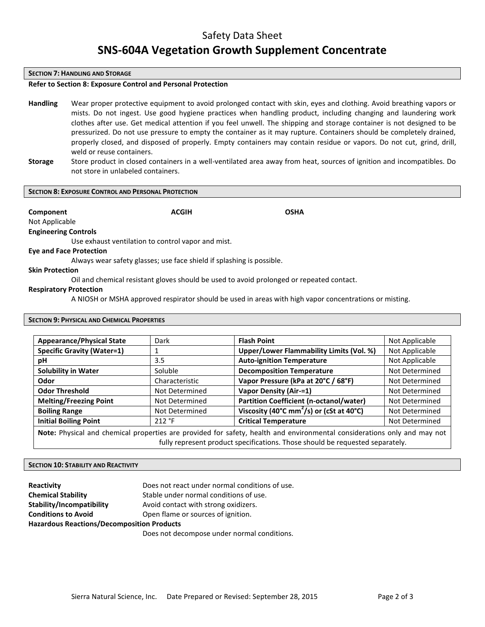### Safety Data Sheet

# **SNS-604A Vegetation Growth Supplement Concentrate**

#### **SECTION 7: HANDLING AND STORAGE**

### **Refer to Section 8: Exposure Control and Personal Protection**

- **Handling** Wear proper protective equipment to avoid prolonged contact with skin, eyes and clothing. Avoid breathing vapors or mists. Do not ingest. Use good hygiene practices when handling product, including changing and laundering work clothes after use. Get medical attention if you feel unwell. The shipping and storage container is not designed to be pressurized. Do not use pressure to empty the container as it may rupture. Containers should be completely drained, properly closed, and disposed of properly. Empty containers may contain residue or vapors. Do not cut, grind, drill, weld or reuse containers.
- **Storage** Store product in closed containers in a well-ventilated area away from heat, sources of ignition and incompatibles. Do not store in unlabeled containers.

### **SECTION 8: EXPOSURE CONTROL AND PERSONAL PROTECTION**

**Component Component ACGIH COMPONENT ACGIN** 

Not Applicable

**Engineering Controls**

Use exhaust ventilation to control vapor and mist.

### **Eye and Face Protection**

Always wear safety glasses; use face shield if splashing is possible.

### **Skin Protection**

Oil and chemical resistant gloves should be used to avoid prolonged or repeated contact.

### **Respiratory Protection**

A NIOSH or MSHA approved respirator should be used in areas with high vapor concentrations or misting.

### **SECTION 9: PHYSICAL AND CHEMICAL PROPERTIES**

| <b>Appearance/Physical State</b>                                                                                                                                                                          | Dark           | <b>Flash Point</b>                                                         | Not Applicable |  |  |
|-----------------------------------------------------------------------------------------------------------------------------------------------------------------------------------------------------------|----------------|----------------------------------------------------------------------------|----------------|--|--|
| <b>Specific Gravity (Water=1)</b>                                                                                                                                                                         |                | Upper/Lower Flammability Limits (Vol. %)                                   | Not Applicable |  |  |
| рH                                                                                                                                                                                                        | 3.5            | <b>Auto-ignition Temperature</b>                                           | Not Applicable |  |  |
| <b>Solubility in Water</b>                                                                                                                                                                                | Soluble        | <b>Decomposition Temperature</b>                                           | Not Determined |  |  |
| Odor                                                                                                                                                                                                      | Characteristic | Vapor Pressure (kPa at 20°C / 68°F)                                        | Not Determined |  |  |
| <b>Odor Threshold</b>                                                                                                                                                                                     | Not Determined | <b>Vapor Density (Air-=1)</b>                                              | Not Determined |  |  |
| <b>Melting/Freezing Point</b>                                                                                                                                                                             | Not Determined | Partition Coefficient (n-octanol/water)                                    | Not Determined |  |  |
| <b>Boiling Range</b>                                                                                                                                                                                      | Not Determined | Viscosity (40 $^{\circ}$ C mm <sup>2</sup> /s) or (cSt at 40 $^{\circ}$ C) | Not Determined |  |  |
| <b>Initial Boiling Point</b>                                                                                                                                                                              | 212 °F         | <b>Critical Temperature</b>                                                | Not Determined |  |  |
| Note: Physical and chemical properties are provided for safety, health and environmental considerations only and may not<br>fully represent product specifications. Those should be requested separately. |                |                                                                            |                |  |  |

### **SECTION 10: STABILITY AND REACTIVITY**

| Reactivity                                        | Does not react under normal conditions of use. |  |  |  |  |
|---------------------------------------------------|------------------------------------------------|--|--|--|--|
| <b>Chemical Stability</b>                         | Stable under normal conditions of use.         |  |  |  |  |
| Stability/Incompatibility                         | Avoid contact with strong oxidizers.           |  |  |  |  |
| <b>Conditions to Avoid</b>                        | Open flame or sources of ignition.             |  |  |  |  |
| <b>Hazardous Reactions/Decomposition Products</b> |                                                |  |  |  |  |
|                                                   |                                                |  |  |  |  |

Does not decompose under normal conditions.